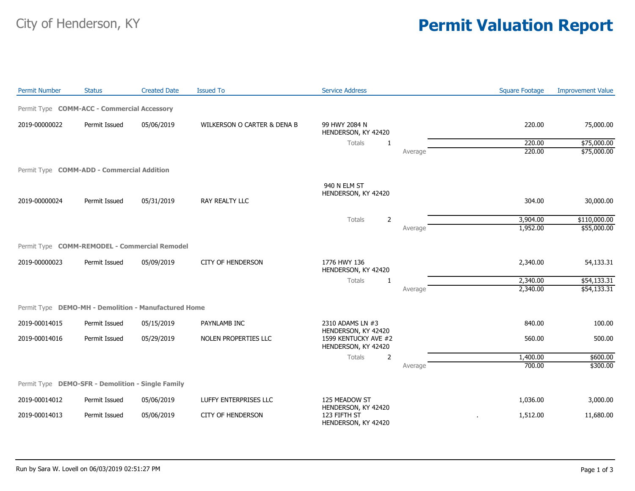## City of Henderson, KY **Permit Valuation Report**

| <b>Permit Number</b> | <b>Status</b>                                        | <b>Created Date</b> | <b>Issued To</b>            | <b>Service Address</b>                                     |         | <b>Square Footage</b> | <b>Improvement Value</b> |
|----------------------|------------------------------------------------------|---------------------|-----------------------------|------------------------------------------------------------|---------|-----------------------|--------------------------|
|                      | Permit Type COMM-ACC - Commercial Accessory          |                     |                             |                                                            |         |                       |                          |
| 2019-00000022        | Permit Issued                                        | 05/06/2019          | WILKERSON O CARTER & DENA B | 99 HWY 2084 N<br>HENDERSON, KY 42420                       |         | 220.00                | 75,000.00                |
|                      |                                                      |                     |                             | Totals<br>1                                                |         | 220.00                | \$75,000.00              |
|                      |                                                      |                     |                             |                                                            | Average | 220.00                | \$75,000.00              |
|                      | Permit Type <b>COMM-ADD - Commercial Addition</b>    |                     |                             |                                                            |         |                       |                          |
|                      |                                                      |                     |                             | 940 N ELM ST<br>HENDERSON, KY 42420                        |         |                       |                          |
| 2019-00000024        | Permit Issued                                        | 05/31/2019          | RAY REALTY LLC              |                                                            |         | 304.00                | 30,000.00                |
|                      |                                                      |                     |                             | $\overline{2}$<br>Totals                                   |         | 3,904.00              | \$110,000.00             |
|                      |                                                      |                     |                             |                                                            | Average | 1,952.00              | \$55,000.00              |
|                      | Permit Type COMM-REMODEL - Commercial Remodel        |                     |                             |                                                            |         |                       |                          |
| 2019-00000023        | Permit Issued                                        | 05/09/2019          | <b>CITY OF HENDERSON</b>    | 1776 HWY 136<br>HENDERSON, KY 42420                        |         | 2,340.00              | 54,133.31                |
|                      |                                                      |                     |                             | <b>Totals</b><br>1                                         |         | 2,340.00              | \$54,133.31              |
|                      |                                                      |                     |                             |                                                            | Average | 2,340.00              | \$54,133.31              |
|                      | Permit Type DEMO-MH - Demolition - Manufactured Home |                     |                             |                                                            |         |                       |                          |
| 2019-00014015        | Permit Issued                                        | 05/15/2019          | PAYNLAMB INC                | 2310 ADAMS LN #3<br>HENDERSON, KY 42420                    |         | 840.00                | 100.00                   |
| 2019-00014016        | Permit Issued                                        | 05/29/2019          | NOLEN PROPERTIES LLC        | 1599 KENTUCKY AVE #2<br>HENDERSON, KY 42420                |         | 560.00                | 500.00                   |
|                      |                                                      |                     |                             | Totals<br>2                                                |         | 1,400.00              | \$600.00                 |
|                      |                                                      |                     |                             |                                                            | Average | 700.00                | \$300.00                 |
|                      | Permit Type DEMO-SFR - Demolition - Single Family    |                     |                             |                                                            |         |                       |                          |
| 2019-00014012        | Permit Issued                                        | 05/06/2019          | LUFFY ENTERPRISES LLC       | 125 MEADOW ST                                              |         | 1,036.00              | 3,000.00                 |
| 2019-00014013        | Permit Issued                                        | 05/06/2019          | <b>CITY OF HENDERSON</b>    | HENDERSON, KY 42420<br>123 FIFTH ST<br>HENDERSON, KY 42420 |         | 1,512.00              | 11,680.00                |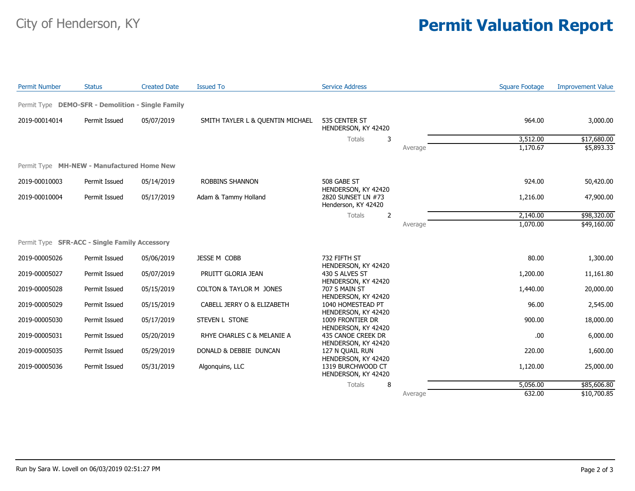## City of Henderson, KY **Permit Valuation Report**

| <b>Permit Number</b> | <b>Status</b>                                     | <b>Created Date</b> | <b>Issued To</b>                 | <b>Service Address</b>                                           |         | <b>Square Footage</b> | <b>Improvement Value</b> |
|----------------------|---------------------------------------------------|---------------------|----------------------------------|------------------------------------------------------------------|---------|-----------------------|--------------------------|
|                      | Permit Type DEMO-SFR - Demolition - Single Family |                     |                                  |                                                                  |         |                       |                          |
| 2019-00014014        | Permit Issued                                     | 05/07/2019          | SMITH TAYLER L & QUENTIN MICHAEL | 535 CENTER ST<br>HENDERSON, KY 42420                             |         | 964.00                | 3,000.00                 |
|                      |                                                   |                     |                                  | Totals<br>3                                                      |         | 3,512.00              | \$17,680.00              |
|                      |                                                   |                     |                                  |                                                                  | Average | 1,170.67              | \$5,893.33               |
|                      | Permit Type MH-NEW - Manufactured Home New        |                     |                                  |                                                                  |         |                       |                          |
| 2019-00010003        | Permit Issued                                     | 05/14/2019          | ROBBINS SHANNON                  | 508 GABE ST                                                      |         | 924.00                | 50,420.00                |
| 2019-00010004        | Permit Issued                                     | 05/17/2019          | Adam & Tammy Holland             | HENDERSON, KY 42420<br>2820 SUNSET LN #73<br>Henderson, KY 42420 |         | 1,216.00              | 47,900.00                |
|                      |                                                   |                     |                                  | $\overline{2}$<br>Totals                                         |         | 2,140.00              | \$98,320.00              |
|                      |                                                   |                     |                                  |                                                                  | Average | 1,070.00              | \$49,160.00              |
|                      | Permit Type SFR-ACC - Single Family Accessory     |                     |                                  |                                                                  |         |                       |                          |
| 2019-00005026        | Permit Issued                                     | 05/06/2019          | JESSE M COBB                     | 732 FIFTH ST                                                     |         | 80.00                 | 1,300.00                 |
| 2019-00005027        | Permit Issued                                     | 05/07/2019          | PRUITT GLORIA JEAN               | HENDERSON, KY 42420<br>430 S ALVES ST                            |         | 1,200.00              | 11,161.80                |
| 2019-00005028        | Permit Issued                                     | 05/15/2019          | COLTON & TAYLOR M JONES          | HENDERSON, KY 42420<br>707 S MAIN ST<br>HENDERSON, KY 42420      |         | 1,440.00              | 20,000.00                |
| 2019-00005029        | Permit Issued                                     | 05/15/2019          | CABELL JERRY O & ELIZABETH       | 1040 HOMESTEAD PT                                                |         | 96.00                 | 2,545.00                 |
| 2019-00005030        | Permit Issued                                     | 05/17/2019          | STEVEN L STONE                   | HENDERSON, KY 42420<br>1009 FRONTIER DR<br>HENDERSON, KY 42420   |         | 900.00                | 18,000.00                |
| 2019-00005031        | Permit Issued                                     | 05/20/2019          | RHYE CHARLES C & MELANIE A       | 435 CANOE CREEK DR<br>HENDERSON, KY 42420                        |         | .00.                  | 6,000.00                 |
| 2019-00005035        | Permit Issued                                     | 05/29/2019          | DONALD & DEBBIE DUNCAN           | 127 N QUAIL RUN<br>HENDERSON, KY 42420                           |         | 220.00                | 1,600.00                 |
| 2019-00005036        | Permit Issued                                     | 05/31/2019          | Algonquins, LLC                  | 1319 BURCHWOOD CT<br>HENDERSON, KY 42420                         |         | 1,120.00              | 25,000.00                |
|                      |                                                   |                     |                                  | 8<br>Totals                                                      |         | 5,056.00              | \$85,606.80              |
|                      |                                                   |                     |                                  |                                                                  | Average | 632.00                | \$10,700.85              |